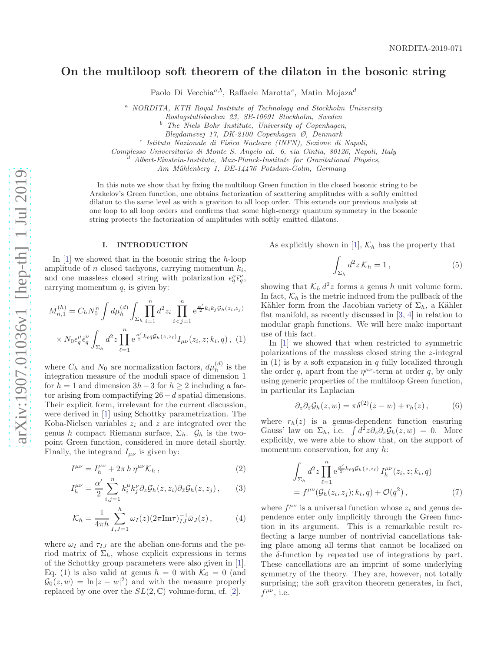# On the multiloop soft theorem of the dilaton in the bosonic string

Paolo Di Vecchia<sup>a,b</sup>, Raffaele Marotta<sup>c</sup>, Matin Mojaza<sup>d</sup>

<sup>a</sup> NORDITA, KTH Royal Institute of Technology and Stockholm University

Roslagstullsbacken 23, SE-10691 Stockholm, Sweden

 $b^b$  The Niels Bohr Institute, University of Copenhagen,

Blegdamsvej 17, DK-2100 Copenhagen Ø, Denmark

c Istituto Nazionale di Fisica Nucleare (INFN), Sezione di Napoli,

Complesso Universitario di Monte S. Angelo ed. 6, via Cintia, 80126, Napoli, Italy d<br><sup>d</sup> Albert-Einstein-Institute, Max-Planck-Institute for Gravitational Physics,

Am Mühlenberg 1, DE-14476 Potsdam-Golm, Germany

In this note we show that by fixing the multiloop Green function in the closed bosonic string to be Arakelov's Green function, one obtains factorization of scattering amplitudes with a softly emitted dilaton to the same level as with a graviton to all loop order. This extends our previous analysis at one loop to all loop orders and confirms that some high-energy quantum symmetry in the bosonic string protects the factorization of amplitudes with softly emitted dilatons.

### I. INTRODUCTION

In  $[1]$  $[1]$  $[1]$  we showed that in the bosonic string the h-loop amplitude of *n* closed tachyons, carrying momentum  $k_i$ , and one massless closed string with polarization  $\epsilon_q^{\mu} \bar{\epsilon}_q^{\nu}$ , carrying momentum  $q$ , is given by:

$$
M_{n,1}^{(h)} = C_h N_0^n \int d\mu_h^{(d)} \int \prod_{\substack{\sum_h \\ i=1}}^n d^2 z_i \prod_{i < j=1}^n e^{\frac{\alpha'}{2} k_i k_j \mathcal{G}_h(z_i, z_j)} \\
\times N_0 \epsilon_q^\mu \bar{\epsilon}_q^\nu \int_{\sum_h} d^2 z \prod_{\ell=1}^n e^{\frac{\alpha'}{2} k_\ell q \mathcal{G}_h(z, z_\ell)} I_{\mu\nu}(z_i, z; k_i, q) , \tag{1}
$$

where  $C_h$  and  $N_0$  are normalization factors,  $d\mu_h^{(d)}$  $\binom{u}{h}$  is the integration measure of the moduli space of dimension 1 for  $h = 1$  and dimension  $3h - 3$  for  $h \ge 2$  including a factor arising from compactifying  $26-d$  spatial dimensions. Their explicit form, irrelevant for the current discussion, were derived in [ [1](#page-3-0)] using Schottky parametrization. The Koba-Nielsen variables  $z_i$  and  $z$  are integrated over the genus h compact Riemann surface,  $\Sigma_h$ .  $\mathcal{G}_h$  is the twopoint Green function, considered in more detail shortly. Finally, the integrand  $I_{\mu\nu}$  is given by:

$$
I^{\mu\nu} = I_h^{\mu\nu} + 2\pi h \,\eta^{\mu\nu} \mathcal{K}_h \,, \tag{2}
$$

$$
I_h^{\mu\nu} = \frac{\alpha'}{2} \sum_{i,j=1}^n k_i^{\mu} k_j^{\nu} \partial_z \mathcal{G}_h(z, z_i) \partial_{\bar{z}} \mathcal{G}_h(z, z_j), \qquad (3)
$$

$$
\mathcal{K}_h = \frac{1}{4\pi h} \sum_{I,J=1}^h \omega_I(z) (2\pi \text{Im}\tau)_{IJ}^{-1} \bar{\omega}_J(z) ,\qquad (4)
$$

where  $\omega_I$  and  $\tau_{IJ}$  are the abelian one-forms and the period matrix of  $\Sigma_h$ , whose explicit expressions in terms of the Schottky group parameters were also given in [ [1\]](#page-3-0). Eq. ([1\)](#page-0-0) is also valid at genus  $h = 0$  with  $\mathcal{K}_0 = 0$  (and  $\mathcal{G}_0(z,w) = \ln |z-w|^2$  and with the measure properly replaced by one over the  $SL(2,\mathbb{C})$  $SL(2,\mathbb{C})$  $SL(2,\mathbb{C})$  volume-form, cf. [2].

As explicitly shown in [[1\]](#page-3-0),  $\mathcal{K}_h$  has the property that

<span id="page-0-1"></span>
$$
\int_{\Sigma_h} d^2 z \, \mathcal{K}_h = 1 \,, \tag{5}
$$

showing that  $\mathcal{K}_h d^2 z$  forms a genus h unit volume form. In fact,  $\mathcal{K}_h$  is the metric induced from the pullback of the Kähler form from the Jacobian variety of  $\Sigma_h$ , a Kähler flat manifold, as recently discussed in [ [3](#page-3-2) , [4](#page-3-3)] in relation to modular graph functions. We will here make important use of this fact.

<span id="page-0-0"></span>In [ [1](#page-3-0)] we showed that when restricted to symmetric polarizations of the massless closed string the z-integral in  $(1)$  $(1)$  is by a soft expansion in q fully localized through the order q, apart from the  $\eta^{\mu\nu}$ -term at order q, by only using generic properties of the multiloop Green function, in particular its Laplacian

$$
\partial_z \partial_{\bar{z}} \mathcal{G}_h(z, w) = \pi \delta^{(2)}(z - w) + r_h(z), \qquad (6)
$$

where  $r_h(z)$  is a genus-dependent function ensuring Gauss' law on  $\Sigma_h$ , i.e.  $\int d^2z \partial_z \partial_{\bar{z}} \mathcal{G}_h(z,w) = 0$ . More explicitly, we were able to show that, on the support of momentum conservation, for any h:

$$
\int_{\Sigma_h} d^2 z \prod_{\ell=1}^n e^{\frac{\alpha'}{2} k_\ell q \mathcal{G}_h(z, z_\ell)} I_h^{\mu\nu}(z_i, z; k_i, q)
$$

$$
= f^{\mu\nu}(\mathcal{G}_h(z_i, z_j); k_i, q) + \mathcal{O}(q^2), \tag{7}
$$

where  $f^{\mu\nu}$  is a universal function whose  $z_i$  and genus dependence enter only implicitly through the Green function in its argument. This is a remarkable result reflecting a large number of nontrivial cancellations taking place among all terms that cannot be localized on the δ-function by repeated use of integrations by part. These cancellations are an imprint of some underlying symmetry of the theory. They are, however, not totally surprising; the soft graviton theorem generates, in fact,  $f^{\mu\nu}$ , i.e.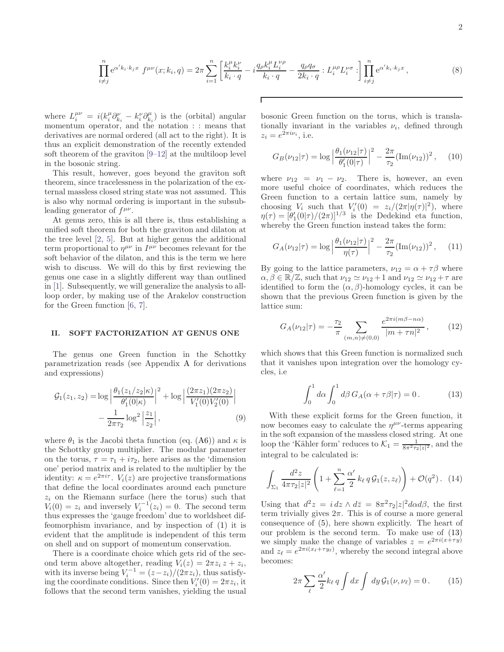$$
\prod_{i \neq j}^{n} e^{\alpha' k_i \cdot k_j x} f^{\mu \nu}(x; k_i, q) = 2\pi \sum_{i=1}^{n} \left[ \frac{k_i^{\mu} k_i^{\nu}}{k_i \cdot q} - i \frac{q_{\rho} k_i^{\mu} L_i^{\nu \rho}}{k_i \cdot q} - \frac{q_{\rho} q_{\sigma}}{2k_i \cdot q} : L_i^{\mu \rho} L_i^{\nu \sigma} : \right] \prod_{i \neq j}^{n} e^{\alpha' k_i \cdot k_j x}, \tag{8}
$$

where  $L_i^{\mu\nu} = i(k_i^{\mu}\partial_{k_i}^{\nu} - k_i^{\nu}\partial_{k_i}^{\mu})$  is the (orbital) angular momentum operator, and the notation : : means that derivatives are normal ordered (all act to the right). It is thus an explicit demonstration of the recently extended soft theorem of the graviton [\[9](#page-3-4)[–12\]](#page-3-5) at the multiloop level in the bosonic string.

This result, however, goes beyond the graviton soft theorem, since tracelessness in the polarization of the external massless closed string state was not assumed. This is also why normal ordering is important in the subsubleading generator of  $f^{\mu\nu}$ .

At genus zero, this is all there is, thus establishing a unified soft theorem for both the graviton and dilaton at the tree level [\[2](#page-3-1), [5\]](#page-3-6). But at higher genus the additional term proportional to  $\eta^{\mu\nu}$  in  $I^{\mu\nu}$  becomes relevant for the soft behavior of the dilaton, and this is the term we here wish to discuss. We will do this by first reviewing the genus one case in a slightly different way than outlined in [\[1\]](#page-3-0). Subsequently, we will generalize the analysis to allloop order, by making use of the Arakelov construction for the Green function [\[6,](#page-3-7) [7\]](#page-3-8).

#### II. SOFT FACTORIZATION AT GENUS ONE

The genus one Green function in the Schottky parametrization reads (see Appendix [A](#page-3-9) for derivations and expressions)

$$
\mathcal{G}_1(z_1, z_2) = \log \left| \frac{\theta_1(z_1/z_2|\kappa)}{\theta'_1(0|\kappa)} \right|^2 + \log \left| \frac{(2\pi z_1)(2\pi z_2)}{V'_1(0)V'_2(0)} \right|
$$

$$
- \frac{1}{2\pi\tau_2} \log^2 \left| \frac{z_1}{z_2} \right|, \tag{9}
$$

where  $\theta_1$  is the Jacobi theta function (eq. [\(A6\)](#page-3-10)) and  $\kappa$  is the Schottky group multiplier. The modular parameter on the torus,  $\tau = \tau_1 + i\tau_2$ , here arises as the 'dimension one' period matrix and is related to the multiplier by the identity:  $\kappa = e^{2\pi i \tau}$ .  $V_i(z)$  are projective transformations that define the local coordinates around each puncture  $z_i$  on the Riemann surface (here the torus) such that  $V_i(0) = z_i$  and inversely  $V_i^{-1}(z_i) = 0$ . The second term thus expresses the 'gauge freedom' due to worldsheet diffeomorphism invariance, and by inspection of [\(1\)](#page-0-0) it is evident that the amplitude is independent of this term on shell and on support of momentum conservation.

There is a coordinate choice which gets rid of the second term above altogether, reading  $V_i(z) = 2\pi z_i z + z_i$ , with its inverse being  $V_i^{-1} = (z - z_i)/(2\pi z_i)$ , thus satisfying the coordinate conditions. Since then  $V_i'(0) = 2\pi z_i$ , it follows that the second term vanishes, yielding the usual bosonic Green function on the torus, which is translationally invariant in the variables  $\nu_i$ , defined through  $z_i = e^{2\pi i \nu_i}$ , i.e.

$$
G_B(\nu_{12}|\tau) = \log \left| \frac{\theta_1(\nu_{12}|\tau)}{\theta'_1(0|\tau)} \right|^2 - \frac{2\pi}{\tau_2} (\text{Im}(\nu_{12}))^2, \quad (10)
$$

where  $\nu_{12} = \nu_1 - \nu_2$ . There is, however, an even more useful choice of coordinates, which reduces the Green function to a certain lattice sum, namely by choosing  $V_i$  such that  $V_i'(0) = z_i/(2\pi |\eta(\tau)|^2)$ , where  $\eta(\tau) = [\theta_1'(0|\tau)/(2\pi)]^{1/3}$  is the Dedekind eta function, whereby the Green function instead takes the form:

$$
G_A(\nu_{12}|\tau) = \log \left| \frac{\theta_1(\nu_{12}|\tau)}{\eta(\tau)} \right|^2 - \frac{2\pi}{\tau_2} (\text{Im}(\nu_{12}))^2, \quad (11)
$$

By going to the lattice parameters,  $\nu_{12} = \alpha + \tau \beta$  where  $\alpha, \beta \in \mathbb{R}/\mathbb{Z}$ , such that  $\nu_{12} \simeq \nu_{12} + 1$  and  $\nu_{12} \simeq \nu_{12} + \tau$  are identified to form the  $(\alpha, \beta)$ -homology cycles, it can be shown that the previous Green function is given by the lattice sum:

$$
G_A(\nu_{12}|\tau) = -\frac{\tau_2}{\pi} \sum_{(m,n)\neq(0,0)} \frac{e^{2\pi i(m\beta - n\alpha)}}{|m + \tau n|^2}, \qquad (12)
$$

which shows that this Green function is normalized such that it vanishes upon integration over the homology cycles, i.e

<span id="page-1-2"></span><span id="page-1-0"></span>
$$
\int_0^1 d\alpha \int_0^1 d\beta G_A(\alpha + \tau \beta | \tau) = 0. \tag{13}
$$

<span id="page-1-1"></span>With these explicit forms for the Green function, it now becomes easy to calculate the  $\eta^{\mu\nu}$ -terms appearing in the soft expansion of the massless closed string. At one loop the 'Kähler form' reduces to  $\mathcal{K}_1 = \frac{1}{8\pi^2 \tau_2 |z|^2}$ , and the integral to be calculated is:

$$
\int_{\Sigma_1} \frac{d^2 z}{4\pi \tau_2 |z|^2} \left( 1 + \sum_{\ell=1}^n \frac{\alpha'}{2} k_\ell q \mathcal{G}_1(z, z_\ell) \right) + \mathcal{O}(q^2). \tag{14}
$$

Using that  $d^2z = i dz \wedge d\bar{z} = 8\pi^2 \tau_2 |z|^2 d\alpha d\beta$ , the first term trivially gives  $2\pi$ . This is of course a more general consequence of [\(5\)](#page-0-1), here shown explicitly. The heart of our problem is the second term. To make use of [\(13\)](#page-1-0) we simply make the change of variables  $z = e^{2\pi i(x+\tau y)}$ and  $z_{\ell} = e^{2\pi i (x_{\ell} + \tau y_{\ell})}$ , whereby the second integral above becomes:

$$
2\pi \sum_{\ell} \frac{\alpha'}{2} k_{\ell} q \int dx \int dy \mathcal{G}_1(\nu, \nu_{\ell}) = 0. \qquad (15)
$$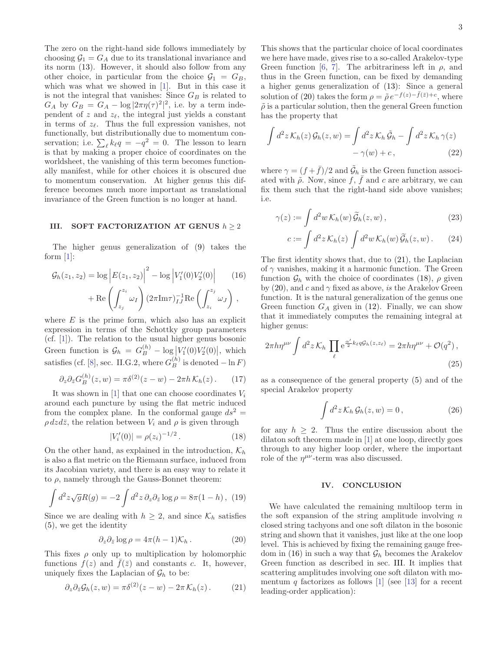The zero on the right-hand side follows immediately by choosing  $\mathcal{G}_1 = G_A$  due to its translational invariance and its norm [\(13\)](#page-1-0). However, it should also follow from any other choice, in particular from the choice  $\mathcal{G}_1 = G_B$ , which was what we showed in [\[1](#page-3-0)]. But in this case it is not the integral that vanishes: Since  ${\cal G}_B$  is related to  $G_A$  by  $G_B = G_A - \log |2\pi \eta(\tau)^2|^2$ , i.e. by a term independent of z and  $z_{\ell}$ , the integral just yields a constant in terms of  $z_\ell$ . Thus the full expression vanishes, not functionally, but distributionally due to momentum conservation; i.e.  $\sum_{\ell} k_{\ell}q = -q^2 = 0$ . The lesson to learn is that by making a proper choice of coordinates on the worldsheet, the vanishing of this term becomes functionally manifest, while for other choices it is obscured due to momentum conservation. At higher genus this difference becomes much more important as translational invariance of the Green function is no longer at hand.

# <span id="page-2-4"></span>III. SOFT FACTORIZATION AT GENUS  $h \geq 2$

The higher genus generalization of [\(9\)](#page-1-1) takes the form  $[1]$ :

$$
\mathcal{G}_h(z_1, z_2) = \log \left| E(z_1, z_2) \right|^2 - \log \left| V_1'(0) V_2'(0) \right| \qquad (16)
$$

$$
+ \operatorname{Re} \left( \int_{z_j}^{z_i} \omega_I \right) (2\pi \operatorname{Im} \tau)_{IJ}^{-1} \operatorname{Re} \left( \int_{z_i}^{z_j} \omega_J \right),
$$

where  $E$  is the prime form, which also has an explicit expression in terms of the Schottky group parameters (cf. [\[1\]](#page-3-0)). The relation to the usual higher genus bosonic Green function is  $\mathcal{G}_h = G_B^{(h)} - \log |V_1'(0)V_2'(0)|$ , which satisfies (cf. [\[8](#page-3-11)], sec. II.G.2, where  $G_B^{(h)}$  is denoted  $-\ln F$ )

$$
\partial_z \partial_{\bar{z}} G_B^{(h)}(z, w) = \pi \delta^{(2)}(z - w) - 2\pi h \mathcal{K}_h(z). \tag{17}
$$

It was shown in [\[1\]](#page-3-0) that one can choose coordinates  $V_i$ around each puncture by using the flat metric induced from the complex plane. In the conformal gauge  $ds^2 =$  $\rho \, dz \, d\bar{z}$ , the relation between  $V_i$  and  $\rho$  is given through

$$
|V_i'(0)| = \rho(z_i)^{-1/2}.
$$
 (18)

On the other hand, as explained in the introduction,  $\mathcal{K}_h$ is also a flat metric on the Riemann surface, induced from its Jacobian variety, and there is an easy way to relate it to  $\rho$ , namely through the Gauss-Bonnet theorem:

$$
\int d^2z \sqrt{g}R(g) = -2 \int d^2z \,\partial_z\partial_{\bar{z}} \log \rho = 8\pi (1 - h), \tag{19}
$$

Since we are dealing with  $h \geq 2$ , and since  $\mathcal{K}_h$  satisfies [\(5\)](#page-0-1), we get the identity

$$
\partial_z \partial_{\bar{z}} \log \rho = 4\pi (h-1) \mathcal{K}_h \,. \tag{20}
$$

This fixes  $\rho$  only up to multiplication by holomorphic functions  $f(z)$  and  $\bar{f}(\bar{z})$  and constants c. It, however, uniquely fixes the Laplacian of  $\mathcal{G}_h$  to be:

$$
\partial_z \partial_{\bar{z}} \mathcal{G}_h(z, w) = \pi \delta^{(2)}(z - w) - 2\pi \mathcal{K}_h(z). \tag{21}
$$

This shows that the particular choice of local coordinates we here have made, gives rise to a so-called Arakelov-type Green function [\[6,](#page-3-7) [7\]](#page-3-8). The arbitrariness left in  $\rho$ , and thus in the Green function, can be fixed by demanding a higher genus generalization of [\(13\)](#page-1-0): Since a general solution of [\(20\)](#page-2-0) takes the form  $\rho = \tilde{\rho} e^{-f(z) - \bar{f}(\bar{z}) + c}$ , where  $\tilde{\rho}$  is a particular solution, then the general Green function has the property that

$$
\int d^2z \mathcal{K}_h(z) \mathcal{G}_h(z, w) = \int d^2z \mathcal{K}_h \tilde{\mathcal{G}}_h - \int d^2z \mathcal{K}_h \gamma(z) - \gamma(w) + c, \qquad (22)
$$

where  $\gamma = (f + \bar{f})/2$  and  $\tilde{G}_h$  is the Green function associated with  $\tilde{\rho}$ . Now, since f,  $\bar{f}$  and c are arbitrary, we can fix them such that the right-hand side above vanishes; i.e.

$$
\gamma(z) := \int d^2w \, \mathcal{K}_h(w) \, \widetilde{\mathcal{G}}_h(z, w) \,, \tag{23}
$$

$$
c := \int d^2 z \mathcal{K}_h(z) \int d^2 w \mathcal{K}_h(w) \widetilde{\mathcal{G}}_h(z, w) \,. \tag{24}
$$

<span id="page-2-3"></span>The first identity shows that, due to [\(21\)](#page-2-1), the Laplacian of  $\gamma$  vanishes, making it a harmonic function. The Green function  $\mathcal{G}_h$  with the choice of coordinates [\(18\)](#page-2-2),  $\rho$  given by [\(20\)](#page-2-0), and c and  $\gamma$  fixed as above, is the Arakelov Green function. It is the natural generalization of the genus one Green function  $G_A$  given in [\(12\)](#page-1-2). Finally, we can show that it immediately computes the remaining integral at higher genus:

$$
2\pi h\eta^{\mu\nu}\int d^2z \mathcal{K}_h \prod_{\ell} e^{\frac{\alpha'}{2}k_{\ell}q\mathcal{G}_h(z,z_{\ell})} = 2\pi h\eta^{\mu\nu} + \mathcal{O}(q^2) ,\tag{25}
$$

as a consequence of the general property [\(5\)](#page-0-1) and of the special Arakelov property

$$
\int d^2z \mathcal{K}_h \mathcal{G}_h(z, w) = 0, \qquad (26)
$$

<span id="page-2-2"></span>for any  $h \geq 2$ . Thus the entire discussion about the dilaton soft theorem made in [\[1](#page-3-0)] at one loop, directly goes through to any higher loop order, where the important role of the  $\eta^{\mu\nu}$ -term was also discussed.

### IV. CONCLUSION

<span id="page-2-1"></span><span id="page-2-0"></span>We have calculated the remaining multiloop term in the soft expansion of the string amplitude involving  $n$ closed string tachyons and one soft dilaton in the bosonic string and shown that it vanishes, just like at the one loop level. This is achieved by fixing the remaining gauge free-dom in [\(16\)](#page-2-3) in such a way that  $\mathcal{G}_h$  becomes the Arakelov Green function as described in sec. [III.](#page-2-4) It implies that scattering amplitudes involving one soft dilaton with momentum q factorizes as follows  $[1]$  (see [\[1](#page-3-0)3] for a recent leading-order application):